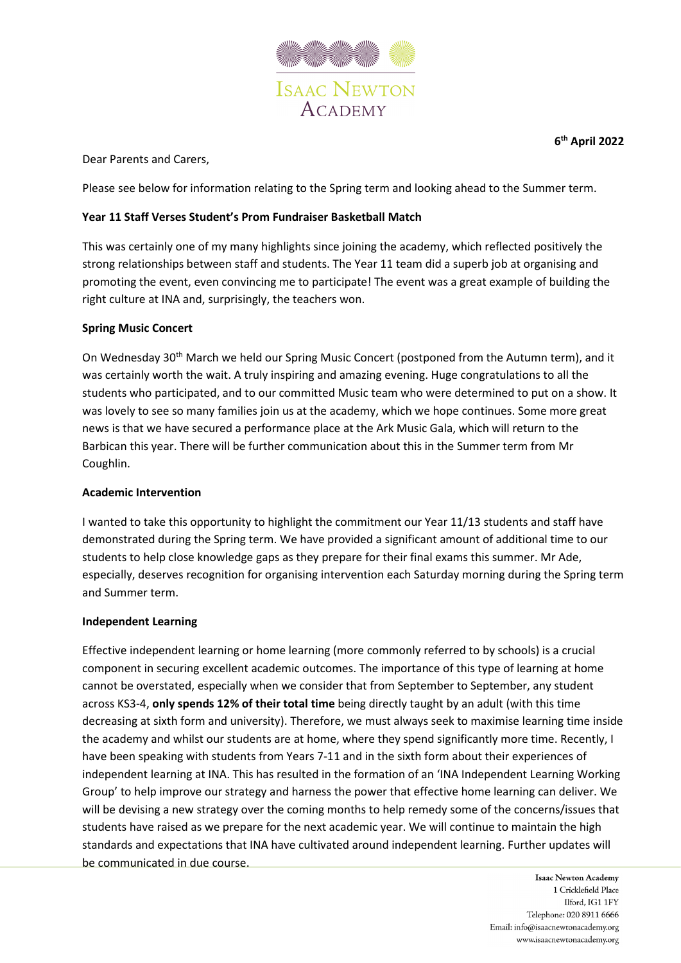

Dear Parents and Carers,

Please see below for information relating to the Spring term and looking ahead to the Summer term.

# **Year 11 Staff Verses Student's Prom Fundraiser Basketball Match**

This was certainly one of my many highlights since joining the academy, which reflected positively the strong relationships between staff and students. The Year 11 team did a superb job at organising and promoting the event, even convincing me to participate! The event was a great example of building the right culture at INA and, surprisingly, the teachers won.

# **Spring Music Concert**

On Wednesday 30<sup>th</sup> March we held our Spring Music Concert (postponed from the Autumn term), and it was certainly worth the wait. A truly inspiring and amazing evening. Huge congratulations to all the students who participated, and to our committed Music team who were determined to put on a show. It was lovely to see so many families join us at the academy, which we hope continues. Some more great news is that we have secured a performance place at the Ark Music Gala, which will return to the Barbican this year. There will be further communication about this in the Summer term from Mr Coughlin.

### **Academic Intervention**

I wanted to take this opportunity to highlight the commitment our Year 11/13 students and staff have demonstrated during the Spring term. We have provided a significant amount of additional time to our students to help close knowledge gaps as they prepare for their final exams this summer. Mr Ade, especially, deserves recognition for organising intervention each Saturday morning during the Spring term and Summer term.

### **Independent Learning**

Effective independent learning or home learning (more commonly referred to by schools) is a crucial component in securing excellent academic outcomes. The importance of this type of learning at home cannot be overstated, especially when we consider that from September to September, any student across KS3-4, **only spends 12% of their total time** being directly taught by an adult (with this time decreasing at sixth form and university). Therefore, we must always seek to maximise learning time inside the academy and whilst our students are at home, where they spend significantly more time. Recently, I have been speaking with students from Years 7-11 and in the sixth form about their experiences of independent learning at INA. This has resulted in the formation of an 'INA Independent Learning Working Group' to help improve our strategy and harness the power that effective home learning can deliver. We will be devising a new strategy over the coming months to help remedy some of the concerns/issues that students have raised as we prepare for the next academic year. We will continue to maintain the high standards and expectations that INA have cultivated around independent learning. Further updates will be communicated in due course.

> **Isaac Newton Academy** 1 Cricklefield Place Ilford, IG1 1FY Telephone: 020 8911 6666 Email: info@isaacnewtonacademy.org www.isaacnewtonacademy.org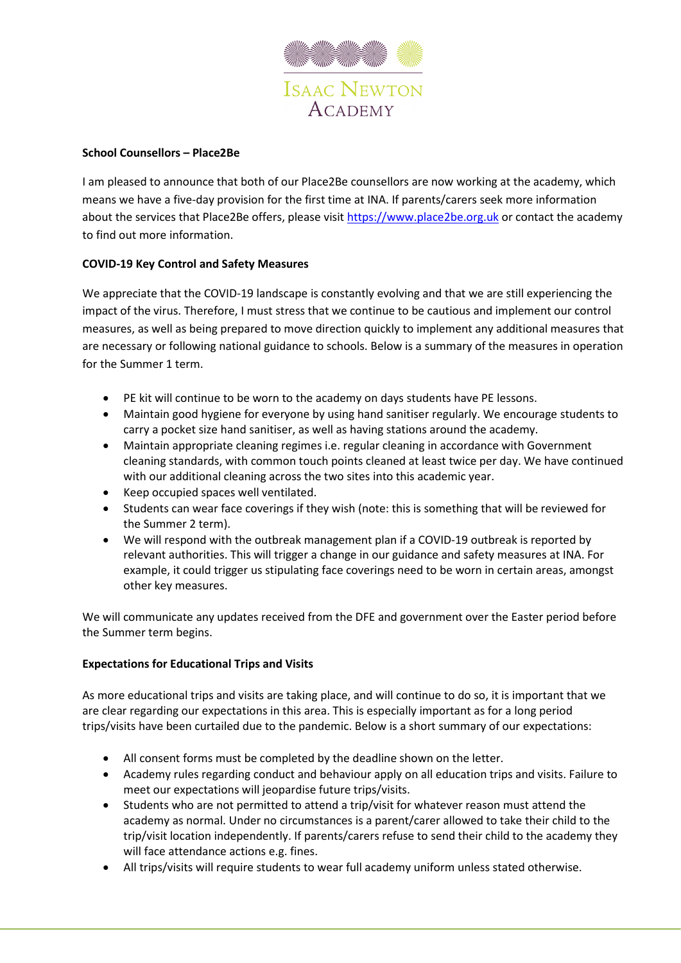

# **School Counsellors – Place2Be**

I am pleased to announce that both of our Place2Be counsellors are now working at the academy, which means we have a five-day provision for the first time at INA. If parents/carers seek more information about the services that Place2Be offers, please visi[t https://www.place2be.org.uk](https://www.place2be.org.uk/) or contact the academy to find out more information.

# **COVID-19 Key Control and Safety Measures**

We appreciate that the COVID-19 landscape is constantly evolving and that we are still experiencing the impact of the virus. Therefore, I must stress that we continue to be cautious and implement our control measures, as well as being prepared to move direction quickly to implement any additional measures that are necessary or following national guidance to schools. Below is a summary of the measures in operation for the Summer 1 term.

- PE kit will continue to be worn to the academy on days students have PE lessons.
- Maintain good hygiene for everyone by using hand sanitiser regularly. We encourage students to carry a pocket size hand sanitiser, as well as having stations around the academy.
- Maintain appropriate cleaning regimes i.e. regular cleaning in accordance with Government cleaning standards, with common touch points cleaned at least twice per day. We have continued with our additional cleaning across the two sites into this academic year.
- Keep occupied spaces well ventilated.
- Students can wear face coverings if they wish (note: this is something that will be reviewed for the Summer 2 term).
- We will respond with the outbreak management plan if a COVID-19 outbreak is reported by relevant authorities. This will trigger a change in our guidance and safety measures at INA. For example, it could trigger us stipulating face coverings need to be worn in certain areas, amongst other key measures.

We will communicate any updates received from the DFE and government over the Easter period before the Summer term begins.

### **Expectations for Educational Trips and Visits**

As more educational trips and visits are taking place, and will continue to do so, it is important that we are clear regarding our expectations in this area. This is especially important as for a long period trips/visits have been curtailed due to the pandemic. Below is a short summary of our expectations:

- All consent forms must be completed by the deadline shown on the letter.
- Academy rules regarding conduct and behaviour apply on all education trips and visits. Failure to meet our expectations will jeopardise future trips/visits.
- Students who are not permitted to attend a trip/visit for whatever reason must attend the academy as normal. Under no circumstances is a parent/carer allowed to take their child to the trip/visit location independently. If parents/carers refuse to send their child to the academy they will face attendance actions e.g. fines.
- All trips/visits will require students to wear full academy uniform unless stated otherwise.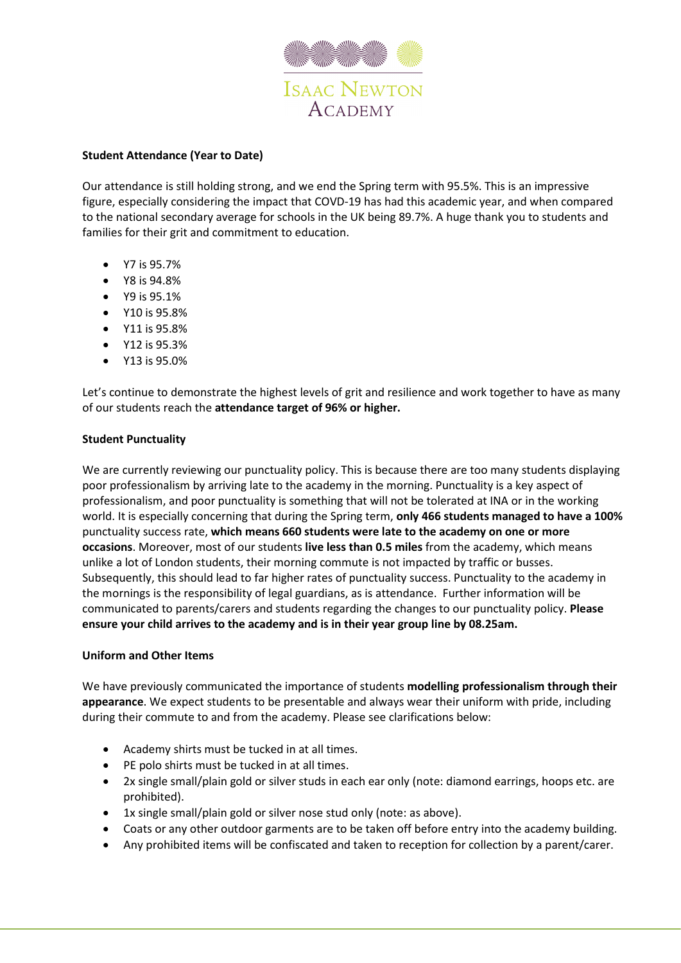

### **Student Attendance (Year to Date)**

Our attendance is still holding strong, and we end the Spring term with 95.5%. This is an impressive figure, especially considering the impact that COVD-19 has had this academic year, and when compared to the national secondary average for schools in the UK being 89.7%. A huge thank you to students and families for their grit and commitment to education.

- Y7 is 95.7%
- Y8 is 94.8%
- Y9 is 95.1%
- Y10 is 95.8%
- Y11 is 95.8%
- Y12 is 95.3%
- Y13 is 95.0%

Let's continue to demonstrate the highest levels of grit and resilience and work together to have as many of our students reach the **attendance target of 96% or higher.** 

#### **Student Punctuality**

We are currently reviewing our punctuality policy. This is because there are too many students displaying poor professionalism by arriving late to the academy in the morning. Punctuality is a key aspect of professionalism, and poor punctuality is something that will not be tolerated at INA or in the working world. It is especially concerning that during the Spring term, **only 466 students managed to have a 100%** punctuality success rate, **which means 660 students were late to the academy on one or more occasions**. Moreover, most of our students **live less than 0.5 miles** from the academy, which means unlike a lot of London students, their morning commute is not impacted by traffic or busses. Subsequently, this should lead to far higher rates of punctuality success. Punctuality to the academy in the mornings is the responsibility of legal guardians, as is attendance. Further information will be communicated to parents/carers and students regarding the changes to our punctuality policy. **Please ensure your child arrives to the academy and is in their year group line by 08.25am.** 

### **Uniform and Other Items**

We have previously communicated the importance of students **modelling professionalism through their appearance**. We expect students to be presentable and always wear their uniform with pride, including during their commute to and from the academy. Please see clarifications below:

- Academy shirts must be tucked in at all times.
- PE polo shirts must be tucked in at all times.
- 2x single small/plain gold or silver studs in each ear only (note: diamond earrings, hoops etc. are prohibited).
- 1x single small/plain gold or silver nose stud only (note: as above).
- Coats or any other outdoor garments are to be taken off before entry into the academy building.
- Any prohibited items will be confiscated and taken to reception for collection by a parent/carer.